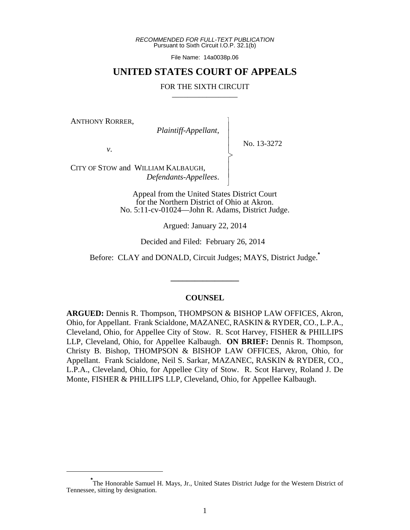*RECOMMENDED FOR FULL-TEXT PUBLICATION* Pursuant to Sixth Circuit I.O.P. 32.1(b)

File Name: 14a0038p.06

# **UNITED STATES COURT OF APPEALS**

#### FOR THE SIXTH CIRCUIT

 $\overline{\phantom{a}}$ - - - > , - - N

ANTHONY RORRER,

*Plaintiff-Appellant*,

No. 13-3272

*v*.

CITY OF STOW and WILLIAM KALBAUGH, *Defendants-Appellees*.

> Appeal from the United States District Court for the Northern District of Ohio at Akron. No. 5:11-cv-01024—John R. Adams, District Judge.

> > Argued: January 22, 2014

Decided and Filed: February 26, 2014

Before: CLAY and DONALD, Circuit Judges; MAYS, District Judge.**\***

**\_\_\_\_\_\_\_\_\_\_\_\_\_\_\_\_\_**

## **COUNSEL**

**ARGUED:** Dennis R. Thompson, THOMPSON & BISHOP LAW OFFICES, Akron, Ohio, for Appellant. Frank Scialdone, MAZANEC, RASKIN & RYDER, CO., L.P.A., Cleveland, Ohio, for Appellee City of Stow. R. Scot Harvey, FISHER & PHILLIPS LLP, Cleveland, Ohio, for Appellee Kalbaugh. **ON BRIEF:** Dennis R. Thompson, Christy B. Bishop, THOMPSON & BISHOP LAW OFFICES, Akron, Ohio, for Appellant. Frank Scialdone, Neil S. Sarkar, MAZANEC, RASKIN & RYDER, CO., L.P.A., Cleveland, Ohio, for Appellee City of Stow. R. Scot Harvey, Roland J. De Monte, FISHER & PHILLIPS LLP, Cleveland, Ohio, for Appellee Kalbaugh.

**<sup>\*</sup>** The Honorable Samuel H. Mays, Jr., United States District Judge for the Western District of Tennessee, sitting by designation.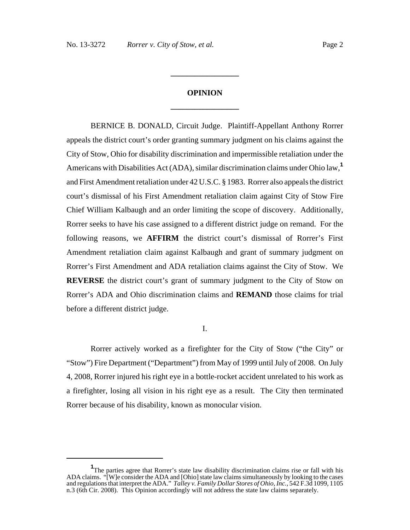# **OPINION \_\_\_\_\_\_\_\_\_\_\_\_\_\_\_\_\_**

**\_\_\_\_\_\_\_\_\_\_\_\_\_\_\_\_\_**

BERNICE B. DONALD, Circuit Judge. Plaintiff-Appellant Anthony Rorrer appeals the district court's order granting summary judgment on his claims against the City of Stow, Ohio for disability discrimination and impermissible retaliation under the Americans with Disabilities Act (ADA), similar discrimination claims under Ohio law,**<sup>1</sup>** and First Amendment retaliation under 42 U.S.C. § 1983. Rorrer also appeals the district court's dismissal of his First Amendment retaliation claim against City of Stow Fire Chief William Kalbaugh and an order limiting the scope of discovery. Additionally, Rorrer seeks to have his case assigned to a different district judge on remand. For the following reasons, we **AFFIRM** the district court's dismissal of Rorrer's First Amendment retaliation claim against Kalbaugh and grant of summary judgment on Rorrer's First Amendment and ADA retaliation claims against the City of Stow. We **REVERSE** the district court's grant of summary judgment to the City of Stow on Rorrer's ADA and Ohio discrimination claims and **REMAND** those claims for trial before a different district judge.

I.

Rorrer actively worked as a firefighter for the City of Stow ("the City" or "Stow") Fire Department ("Department") from May of 1999 until July of 2008. On July 4, 2008, Rorrer injured his right eye in a bottle-rocket accident unrelated to his work as a firefighter, losing all vision in his right eye as a result. The City then terminated Rorrer because of his disability, known as monocular vision.

<sup>&</sup>lt;sup>1</sup>The parties agree that Rorrer's state law disability discrimination claims rise or fall with his ADA claims. "[W]e consider the ADA and [Ohio] state law claims simultaneously by looking to the cases and regulations that interpret the ADA." *Talley v. Family Dollar Stores of Ohio, Inc.*, 542 F.3d 1099, 1105 n.3 (6th Cir. 2008). This Opinion accordingly will not address the state law claims separately.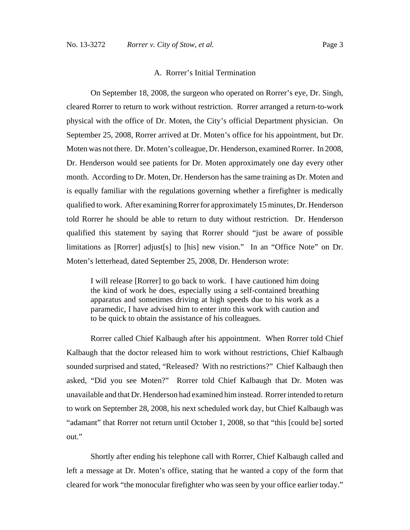#### A. Rorrer's Initial Termination

On September 18, 2008, the surgeon who operated on Rorrer's eye, Dr. Singh, cleared Rorrer to return to work without restriction. Rorrer arranged a return-to-work physical with the office of Dr. Moten, the City's official Department physician. On September 25, 2008, Rorrer arrived at Dr. Moten's office for his appointment, but Dr. Moten was not there. Dr. Moten's colleague, Dr. Henderson, examined Rorrer. In 2008, Dr. Henderson would see patients for Dr. Moten approximately one day every other month. According to Dr. Moten, Dr. Henderson has the same training as Dr. Moten and is equally familiar with the regulations governing whether a firefighter is medically qualified to work. After examining Rorrer for approximately 15 minutes, Dr. Henderson told Rorrer he should be able to return to duty without restriction. Dr. Henderson qualified this statement by saying that Rorrer should "just be aware of possible limitations as [Rorrer] adjust[s] to [his] new vision." In an "Office Note" on Dr. Moten's letterhead, dated September 25, 2008, Dr. Henderson wrote:

I will release [Rorrer] to go back to work. I have cautioned him doing the kind of work he does, especially using a self-contained breathing apparatus and sometimes driving at high speeds due to his work as a paramedic, I have advised him to enter into this work with caution and to be quick to obtain the assistance of his colleagues.

Rorrer called Chief Kalbaugh after his appointment. When Rorrer told Chief Kalbaugh that the doctor released him to work without restrictions, Chief Kalbaugh sounded surprised and stated, "Released? With no restrictions?" Chief Kalbaugh then asked, "Did you see Moten?" Rorrer told Chief Kalbaugh that Dr. Moten was unavailable and that Dr. Henderson had examined him instead. Rorrer intended to return to work on September 28, 2008, his next scheduled work day, but Chief Kalbaugh was "adamant" that Rorrer not return until October 1, 2008, so that "this [could be] sorted out."

Shortly after ending his telephone call with Rorrer, Chief Kalbaugh called and left a message at Dr. Moten's office, stating that he wanted a copy of the form that cleared for work "the monocular firefighter who was seen by your office earlier today."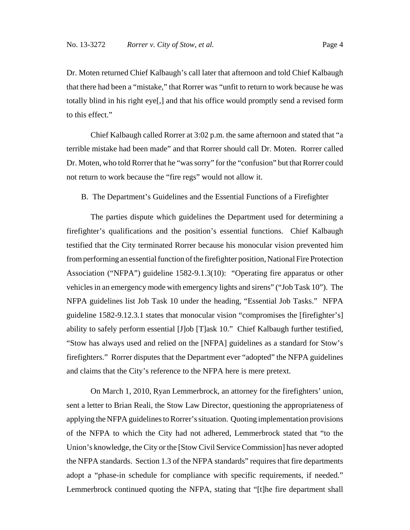Dr. Moten returned Chief Kalbaugh's call later that afternoon and told Chief Kalbaugh that there had been a "mistake," that Rorrer was "unfit to return to work because he was totally blind in his right eye[,] and that his office would promptly send a revised form to this effect."

Chief Kalbaugh called Rorrer at 3:02 p.m. the same afternoon and stated that "a terrible mistake had been made" and that Rorrer should call Dr. Moten. Rorrer called Dr. Moten, who told Rorrer that he "was sorry" for the "confusion" but that Rorrer could not return to work because the "fire regs" would not allow it.

B. The Department's Guidelines and the Essential Functions of a Firefighter

The parties dispute which guidelines the Department used for determining a firefighter's qualifications and the position's essential functions. Chief Kalbaugh testified that the City terminated Rorrer because his monocular vision prevented him from performing an essential function of the firefighter position, National Fire Protection Association ("NFPA") guideline 1582-9.1.3(10): "Operating fire apparatus or other vehicles in an emergency mode with emergency lights and sirens" ("Job Task 10"). The NFPA guidelines list Job Task 10 under the heading, "Essential Job Tasks." NFPA guideline 1582-9.12.3.1 states that monocular vision "compromises the [firefighter's] ability to safely perform essential [J]ob [T]ask 10." Chief Kalbaugh further testified, "Stow has always used and relied on the [NFPA] guidelines as a standard for Stow's firefighters." Rorrer disputes that the Department ever "adopted" the NFPA guidelines and claims that the City's reference to the NFPA here is mere pretext.

On March 1, 2010, Ryan Lemmerbrock, an attorney for the firefighters' union, sent a letter to Brian Reali, the Stow Law Director, questioning the appropriateness of applying the NFPA guidelines to Rorrer's situation. Quoting implementation provisions of the NFPA to which the City had not adhered, Lemmerbrock stated that "to the Union's knowledge, the City or the [Stow Civil Service Commission] has never adopted the NFPA standards. Section 1.3 of the NFPA standards" requires that fire departments adopt a "phase-in schedule for compliance with specific requirements, if needed." Lemmerbrock continued quoting the NFPA, stating that "[t]he fire department shall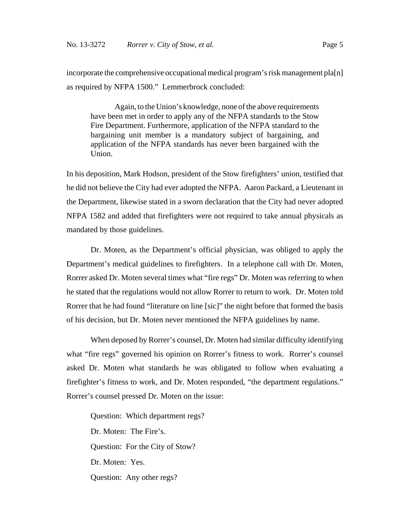incorporate the comprehensive occupational medical program's risk management pla[n] as required by NFPA 1500." Lemmerbrock concluded:

Again, to the Union's knowledge, none of the above requirements have been met in order to apply any of the NFPA standards to the Stow Fire Department. Furthermore, application of the NFPA standard to the bargaining unit member is a mandatory subject of bargaining, and application of the NFPA standards has never been bargained with the Union.

In his deposition, Mark Hodson, president of the Stow firefighters' union, testified that he did not believe the City had ever adopted the NFPA. Aaron Packard, a Lieutenant in the Department, likewise stated in a sworn declaration that the City had never adopted NFPA 1582 and added that firefighters were not required to take annual physicals as mandated by those guidelines.

Dr. Moten, as the Department's official physician, was obliged to apply the Department's medical guidelines to firefighters. In a telephone call with Dr. Moten, Rorrer asked Dr. Moten several times what "fire regs" Dr. Moten was referring to when he stated that the regulations would not allow Rorrer to return to work. Dr. Moten told Rorrer that he had found "literature on line [sic]" the night before that formed the basis of his decision, but Dr. Moten never mentioned the NFPA guidelines by name.

When deposed by Rorrer's counsel, Dr. Moten had similar difficulty identifying what "fire regs" governed his opinion on Rorrer's fitness to work. Rorrer's counsel asked Dr. Moten what standards he was obligated to follow when evaluating a firefighter's fitness to work, and Dr. Moten responded, "the department regulations." Rorrer's counsel pressed Dr. Moten on the issue:

Question: Which department regs? Dr. Moten: The Fire's. Question: For the City of Stow? Dr. Moten: Yes. Question: Any other regs?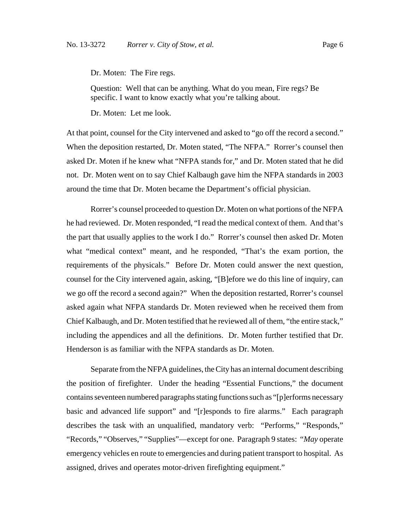Dr. Moten: The Fire regs.

Question: Well that can be anything. What do you mean, Fire regs? Be specific. I want to know exactly what you're talking about.

Dr. Moten: Let me look.

At that point, counsel for the City intervened and asked to "go off the record a second." When the deposition restarted, Dr. Moten stated, "The NFPA." Rorrer's counsel then asked Dr. Moten if he knew what "NFPA stands for," and Dr. Moten stated that he did not. Dr. Moten went on to say Chief Kalbaugh gave him the NFPA standards in 2003 around the time that Dr. Moten became the Department's official physician.

Rorrer's counsel proceeded to question Dr. Moten on what portions of the NFPA he had reviewed. Dr. Moten responded, "I read the medical context of them. And that's the part that usually applies to the work I do." Rorrer's counsel then asked Dr. Moten what "medical context" meant, and he responded, "That's the exam portion, the requirements of the physicals." Before Dr. Moten could answer the next question, counsel for the City intervened again, asking, "[B]efore we do this line of inquiry, can we go off the record a second again?" When the deposition restarted, Rorrer's counsel asked again what NFPA standards Dr. Moten reviewed when he received them from Chief Kalbaugh, and Dr. Moten testified that he reviewed all of them, "the entire stack," including the appendices and all the definitions. Dr. Moten further testified that Dr. Henderson is as familiar with the NFPA standards as Dr. Moten.

Separate from the NFPA guidelines, the City has an internal document describing the position of firefighter. Under the heading "Essential Functions," the document contains seventeen numbered paragraphs stating functions such as "[p]erforms necessary basic and advanced life support" and "[r]esponds to fire alarms." Each paragraph describes the task with an unqualified, mandatory verb: "Performs," "Responds," "Records," "Observes," "Supplies"—except for one. Paragraph 9 states: "*May* operate emergency vehicles en route to emergencies and during patient transport to hospital. As assigned, drives and operates motor-driven firefighting equipment."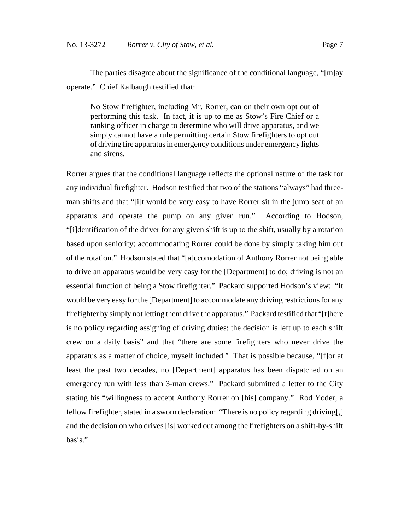The parties disagree about the significance of the conditional language, "[m]ay operate." Chief Kalbaugh testified that:

No Stow firefighter, including Mr. Rorrer, can on their own opt out of performing this task. In fact, it is up to me as Stow's Fire Chief or a ranking officer in charge to determine who will drive apparatus, and we simply cannot have a rule permitting certain Stow firefighters to opt out of driving fire apparatus in emergency conditions under emergency lights and sirens.

Rorrer argues that the conditional language reflects the optional nature of the task for any individual firefighter. Hodson testified that two of the stations "always" had threeman shifts and that "[i]t would be very easy to have Rorrer sit in the jump seat of an apparatus and operate the pump on any given run." According to Hodson, "[i]dentification of the driver for any given shift is up to the shift, usually by a rotation based upon seniority; accommodating Rorrer could be done by simply taking him out of the rotation." Hodson stated that "[a]ccomodation of Anthony Rorrer not being able to drive an apparatus would be very easy for the [Department] to do; driving is not an essential function of being a Stow firefighter." Packard supported Hodson's view: "It would be very easy for the [Department] to accommodate any driving restrictions for any firefighter by simply not letting them drive the apparatus." Packard testified that "[t]here is no policy regarding assigning of driving duties; the decision is left up to each shift crew on a daily basis" and that "there are some firefighters who never drive the apparatus as a matter of choice, myself included." That is possible because, "[f]or at least the past two decades, no [Department] apparatus has been dispatched on an emergency run with less than 3-man crews." Packard submitted a letter to the City stating his "willingness to accept Anthony Rorrer on [his] company." Rod Yoder, a fellow firefighter, stated in a sworn declaration: "There is no policy regarding driving[,] and the decision on who drives [is] worked out among the firefighters on a shift-by-shift basis."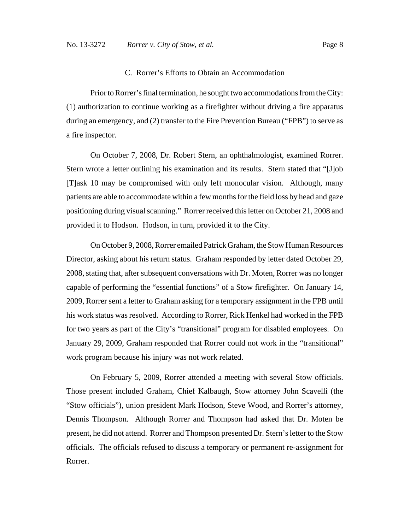#### C. Rorrer's Efforts to Obtain an Accommodation

Prior to Rorrer's final termination, he sought two accommodations from the City: (1) authorization to continue working as a firefighter without driving a fire apparatus during an emergency, and (2) transfer to the Fire Prevention Bureau ("FPB") to serve as a fire inspector.

On October 7, 2008, Dr. Robert Stern, an ophthalmologist, examined Rorrer. Stern wrote a letter outlining his examination and its results. Stern stated that "[J]ob [T]ask 10 may be compromised with only left monocular vision. Although, many patients are able to accommodate within a few months for the field loss by head and gaze positioning during visual scanning." Rorrer received this letter on October 21, 2008 and provided it to Hodson. Hodson, in turn, provided it to the City.

On October 9, 2008, Rorrer emailed Patrick Graham, the Stow Human Resources Director, asking about his return status. Graham responded by letter dated October 29, 2008, stating that, after subsequent conversations with Dr. Moten, Rorrer was no longer capable of performing the "essential functions" of a Stow firefighter. On January 14, 2009, Rorrer sent a letter to Graham asking for a temporary assignment in the FPB until his work status was resolved. According to Rorrer, Rick Henkel had worked in the FPB for two years as part of the City's "transitional" program for disabled employees. On January 29, 2009, Graham responded that Rorrer could not work in the "transitional" work program because his injury was not work related.

On February 5, 2009, Rorrer attended a meeting with several Stow officials. Those present included Graham, Chief Kalbaugh, Stow attorney John Scavelli (the "Stow officials"), union president Mark Hodson, Steve Wood, and Rorrer's attorney, Dennis Thompson. Although Rorrer and Thompson had asked that Dr. Moten be present, he did not attend. Rorrer and Thompson presented Dr. Stern's letter to the Stow officials. The officials refused to discuss a temporary or permanent re-assignment for Rorrer.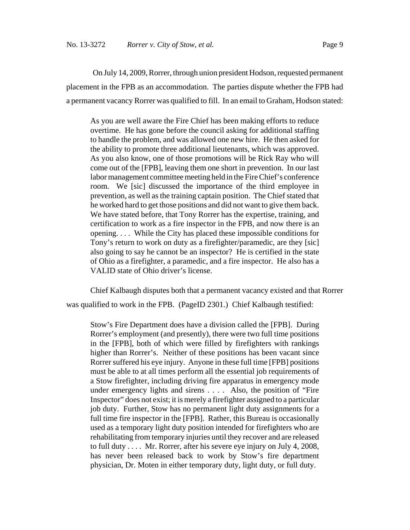On July 14, 2009, Rorrer, through union president Hodson, requested permanent placement in the FPB as an accommodation. The parties dispute whether the FPB had a permanent vacancy Rorrer was qualified to fill. In an email to Graham, Hodson stated:

As you are well aware the Fire Chief has been making efforts to reduce overtime. He has gone before the council asking for additional staffing to handle the problem, and was allowed one new hire. He then asked for the ability to promote three additional lieutenants, which was approved. As you also know, one of those promotions will be Rick Ray who will come out of the [FPB], leaving them one short in prevention. In our last labor management committee meeting held in the Fire Chief's conference room. We [sic] discussed the importance of the third employee in prevention, as well as the training captain position. The Chief stated that he worked hard to get those positions and did not want to give them back. We have stated before, that Tony Rorrer has the expertise, training, and certification to work as a fire inspector in the FPB, and now there is an opening. . . . While the City has placed these impossible conditions for Tony's return to work on duty as a firefighter/paramedic, are they [sic] also going to say he cannot be an inspector? He is certified in the state of Ohio as a firefighter, a paramedic, and a fire inspector. He also has a VALID state of Ohio driver's license.

Chief Kalbaugh disputes both that a permanent vacancy existed and that Rorrer was qualified to work in the FPB. (PageID 2301.) Chief Kalbaugh testified:

Stow's Fire Department does have a division called the [FPB]. During Rorrer's employment (and presently), there were two full time positions in the [FPB], both of which were filled by firefighters with rankings higher than Rorrer's. Neither of these positions has been vacant since Rorrer suffered his eye injury. Anyone in these full time [FPB] positions must be able to at all times perform all the essential job requirements of a Stow firefighter, including driving fire apparatus in emergency mode under emergency lights and sirens . . . . Also, the position of "Fire Inspector" does not exist; it is merely a firefighter assigned to a particular job duty. Further, Stow has no permanent light duty assignments for a full time fire inspector in the [FPB]. Rather, this Bureau is occasionally used as a temporary light duty position intended for firefighters who are rehabilitating from temporary injuries until they recover and are released to full duty . . . . Mr. Rorrer, after his severe eye injury on July 4, 2008, has never been released back to work by Stow's fire department physician, Dr. Moten in either temporary duty, light duty, or full duty.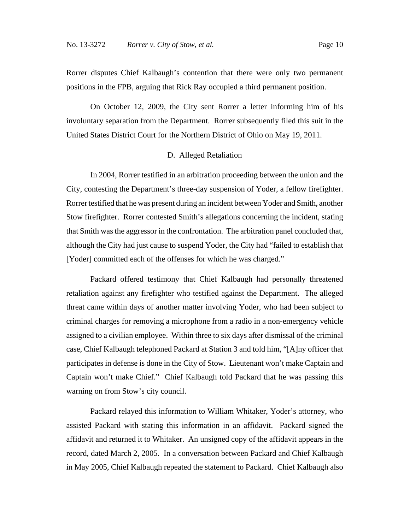Rorrer disputes Chief Kalbaugh's contention that there were only two permanent positions in the FPB, arguing that Rick Ray occupied a third permanent position.

On October 12, 2009, the City sent Rorrer a letter informing him of his involuntary separation from the Department. Rorrer subsequently filed this suit in the United States District Court for the Northern District of Ohio on May 19, 2011.

## D. Alleged Retaliation

In 2004, Rorrer testified in an arbitration proceeding between the union and the City, contesting the Department's three-day suspension of Yoder, a fellow firefighter. Rorrer testified that he was present during an incident between Yoder and Smith, another Stow firefighter. Rorrer contested Smith's allegations concerning the incident, stating that Smith was the aggressor in the confrontation. The arbitration panel concluded that, although the City had just cause to suspend Yoder, the City had "failed to establish that [Yoder] committed each of the offenses for which he was charged."

Packard offered testimony that Chief Kalbaugh had personally threatened retaliation against any firefighter who testified against the Department. The alleged threat came within days of another matter involving Yoder, who had been subject to criminal charges for removing a microphone from a radio in a non-emergency vehicle assigned to a civilian employee. Within three to six days after dismissal of the criminal case, Chief Kalbaugh telephoned Packard at Station 3 and told him, "[A]ny officer that participates in defense is done in the City of Stow. Lieutenant won't make Captain and Captain won't make Chief." Chief Kalbaugh told Packard that he was passing this warning on from Stow's city council.

Packard relayed this information to William Whitaker, Yoder's attorney, who assisted Packard with stating this information in an affidavit. Packard signed the affidavit and returned it to Whitaker. An unsigned copy of the affidavit appears in the record, dated March 2, 2005. In a conversation between Packard and Chief Kalbaugh in May 2005, Chief Kalbaugh repeated the statement to Packard. Chief Kalbaugh also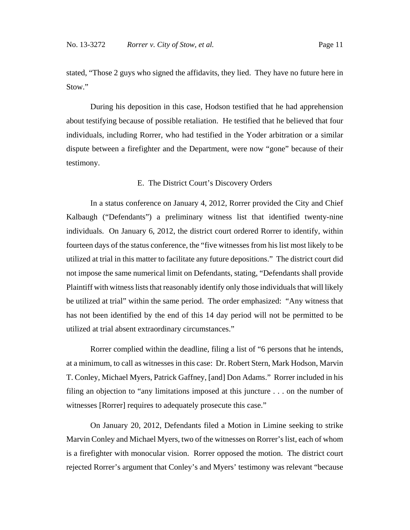stated, "Those 2 guys who signed the affidavits, they lied. They have no future here in Stow."

During his deposition in this case, Hodson testified that he had apprehension about testifying because of possible retaliation. He testified that he believed that four individuals, including Rorrer, who had testified in the Yoder arbitration or a similar dispute between a firefighter and the Department, were now "gone" because of their testimony.

#### E. The District Court's Discovery Orders

In a status conference on January 4, 2012, Rorrer provided the City and Chief Kalbaugh ("Defendants") a preliminary witness list that identified twenty-nine individuals. On January 6, 2012, the district court ordered Rorrer to identify, within fourteen days of the status conference, the "five witnesses from his list most likely to be utilized at trial in this matter to facilitate any future depositions." The district court did not impose the same numerical limit on Defendants, stating, "Defendants shall provide Plaintiff with witness lists that reasonably identify only those individuals that will likely be utilized at trial" within the same period. The order emphasized: "Any witness that has not been identified by the end of this 14 day period will not be permitted to be utilized at trial absent extraordinary circumstances."

Rorrer complied within the deadline, filing a list of "6 persons that he intends, at a minimum, to call as witnesses in this case: Dr. Robert Stern, Mark Hodson, Marvin T. Conley, Michael Myers, Patrick Gaffney, [and] Don Adams." Rorrer included in his filing an objection to "any limitations imposed at this juncture . . . on the number of witnesses [Rorrer] requires to adequately prosecute this case."

On January 20, 2012, Defendants filed a Motion in Limine seeking to strike Marvin Conley and Michael Myers, two of the witnesses on Rorrer's list, each of whom is a firefighter with monocular vision. Rorrer opposed the motion. The district court rejected Rorrer's argument that Conley's and Myers' testimony was relevant "because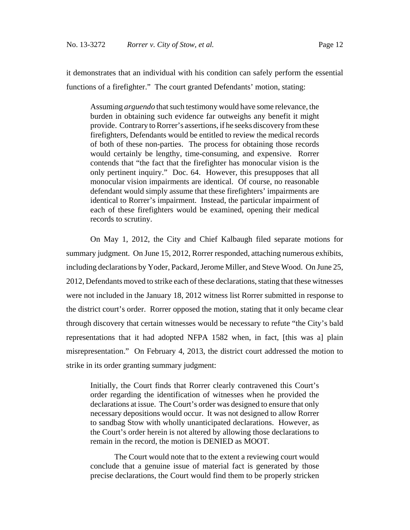it demonstrates that an individual with his condition can safely perform the essential functions of a firefighter." The court granted Defendants' motion, stating:

Assuming *arguendo* that such testimony would have some relevance, the burden in obtaining such evidence far outweighs any benefit it might provide. Contrary to Rorrer's assertions, if he seeks discovery from these firefighters, Defendants would be entitled to review the medical records of both of these non-parties. The process for obtaining those records would certainly be lengthy, time-consuming, and expensive. Rorrer contends that "the fact that the firefighter has monocular vision is the only pertinent inquiry." Doc. 64. However, this presupposes that all monocular vision impairments are identical. Of course, no reasonable defendant would simply assume that these firefighters' impairments are identical to Rorrer's impairment. Instead, the particular impairment of each of these firefighters would be examined, opening their medical records to scrutiny.

On May 1, 2012, the City and Chief Kalbaugh filed separate motions for summary judgment. On June 15, 2012, Rorrer responded, attaching numerous exhibits, including declarations by Yoder, Packard, Jerome Miller, and Steve Wood. On June 25, 2012, Defendants moved to strike each of these declarations, stating that these witnesses were not included in the January 18, 2012 witness list Rorrer submitted in response to the district court's order. Rorrer opposed the motion, stating that it only became clear through discovery that certain witnesses would be necessary to refute "the City's bald representations that it had adopted NFPA 1582 when, in fact, [this was a] plain misrepresentation." On February 4, 2013, the district court addressed the motion to strike in its order granting summary judgment:

Initially, the Court finds that Rorrer clearly contravened this Court's order regarding the identification of witnesses when he provided the declarations at issue. The Court's order was designed to ensure that only necessary depositions would occur. It was not designed to allow Rorrer to sandbag Stow with wholly unanticipated declarations. However, as the Court's order herein is not altered by allowing those declarations to remain in the record, the motion is DENIED as MOOT.

The Court would note that to the extent a reviewing court would conclude that a genuine issue of material fact is generated by those precise declarations, the Court would find them to be properly stricken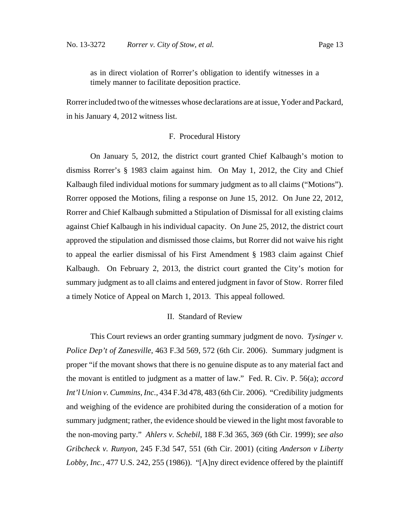as in direct violation of Rorrer's obligation to identify witnesses in a timely manner to facilitate deposition practice.

Rorrer included two of the witnesses whose declarations are at issue, Yoder and Packard, in his January 4, 2012 witness list.

## F. Procedural History

On January 5, 2012, the district court granted Chief Kalbaugh's motion to dismiss Rorrer's § 1983 claim against him. On May 1, 2012, the City and Chief Kalbaugh filed individual motions for summary judgment as to all claims ("Motions"). Rorrer opposed the Motions, filing a response on June 15, 2012. On June 22, 2012, Rorrer and Chief Kalbaugh submitted a Stipulation of Dismissal for all existing claims against Chief Kalbaugh in his individual capacity. On June 25, 2012, the district court approved the stipulation and dismissed those claims, but Rorrer did not waive his right to appeal the earlier dismissal of his First Amendment § 1983 claim against Chief Kalbaugh. On February 2, 2013, the district court granted the City's motion for summary judgment as to all claims and entered judgment in favor of Stow. Rorrer filed a timely Notice of Appeal on March 1, 2013. This appeal followed.

#### II. Standard of Review

This Court reviews an order granting summary judgment de novo. *Tysinger v. Police Dep't of Zanesville*, 463 F.3d 569, 572 (6th Cir. 2006). Summary judgment is proper "if the movant shows that there is no genuine dispute as to any material fact and the movant is entitled to judgment as a matter of law." Fed. R. Civ. P. 56(a); *accord Int'l Union v. Cummins, Inc.*, 434 F.3d 478, 483 (6th Cir. 2006). "Credibility judgments and weighing of the evidence are prohibited during the consideration of a motion for summary judgment; rather, the evidence should be viewed in the light most favorable to the non-moving party." *Ahlers v. Schebil*, 188 F.3d 365, 369 (6th Cir. 1999); *see also Gribcheck v. Runyon*, 245 F.3d 547, 551 (6th Cir. 2001) (citing *Anderson v Liberty Lobby, Inc.*, 477 U.S. 242, 255 (1986)). "[A]ny direct evidence offered by the plaintiff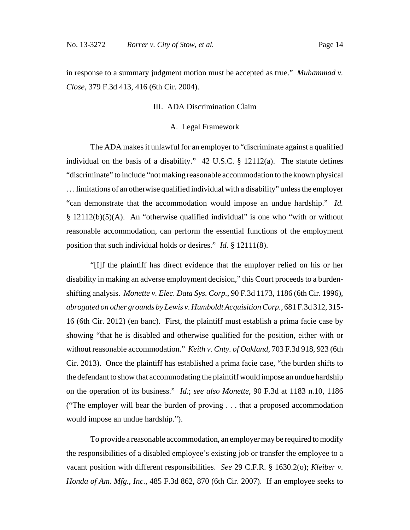in response to a summary judgment motion must be accepted as true." *Muhammad v. Close*, 379 F.3d 413, 416 (6th Cir. 2004).

## III. ADA Discrimination Claim

#### A. Legal Framework

The ADA makes it unlawful for an employer to "discriminate against a qualified individual on the basis of a disability." 42 U.S.C. § 12112(a). The statute defines "discriminate" to include "not making reasonable accommodation to the known physical . . . limitations of an otherwise qualified individual with a disability" unless the employer "can demonstrate that the accommodation would impose an undue hardship." *Id.* § 12112(b)(5)(A). An "otherwise qualified individual" is one who "with or without reasonable accommodation, can perform the essential functions of the employment position that such individual holds or desires." *Id.* § 12111(8).

"[I]f the plaintiff has direct evidence that the employer relied on his or her disability in making an adverse employment decision," this Court proceeds to a burdenshifting analysis. *Monette v. Elec. Data Sys. Corp.*, 90 F.3d 1173, 1186 (6th Cir. 1996), *abrogated on other grounds by Lewis v. Humboldt Acquisition Corp.*, 681 F.3d 312, 315- 16 (6th Cir. 2012) (en banc). First, the plaintiff must establish a prima facie case by showing "that he is disabled and otherwise qualified for the position, either with or without reasonable accommodation." *Keith v. Cnty. of Oakland*, 703 F.3d 918, 923 (6th Cir. 2013). Once the plaintiff has established a prima facie case, "the burden shifts to the defendant to show that accommodating the plaintiff would impose an undue hardship on the operation of its business." *Id.*; *see also Monette*, 90 F.3d at 1183 n.10, 1186 ("The employer will bear the burden of proving . . . that a proposed accommodation would impose an undue hardship.").

To provide a reasonable accommodation, an employer may be required to modify the responsibilities of a disabled employee's existing job or transfer the employee to a vacant position with different responsibilities. *See* 29 C.F.R. § 1630.2(o); *Kleiber v. Honda of Am. Mfg., Inc.*, 485 F.3d 862, 870 (6th Cir. 2007). If an employee seeks to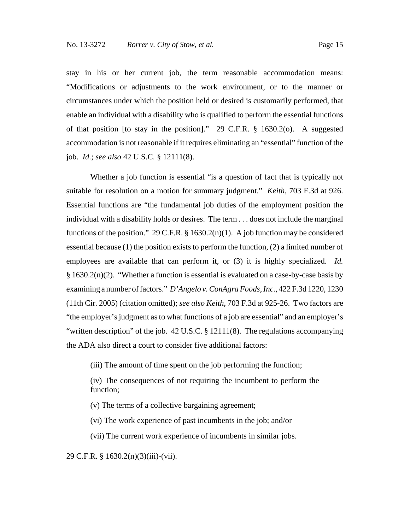stay in his or her current job, the term reasonable accommodation means: "Modifications or adjustments to the work environment, or to the manner or circumstances under which the position held or desired is customarily performed, that enable an individual with a disability who is qualified to perform the essential functions of that position [to stay in the position]." 29 C.F.R. § 1630.2(o). A suggested accommodation is not reasonable if it requires eliminating an "essential" function of the job. *Id.*; *see also* 42 U.S.C. § 12111(8).

Whether a job function is essential "is a question of fact that is typically not suitable for resolution on a motion for summary judgment." *Keith*, 703 F.3d at 926. Essential functions are "the fundamental job duties of the employment position the individual with a disability holds or desires. The term . . . does not include the marginal functions of the position." 29 C.F.R. § 1630.2(n)(1). A job function may be considered essential because (1) the position exists to perform the function, (2) a limited number of employees are available that can perform it, or (3) it is highly specialized. *Id.* § 1630.2(n)(2). "Whether a function is essential is evaluated on a case-by-case basis by examining a number of factors." *D'Angelo v. ConAgra Foods, Inc.*, 422 F.3d 1220, 1230 (11th Cir. 2005) (citation omitted); *see also Keith*, 703 F.3d at 925-26. Two factors are "the employer's judgment as to what functions of a job are essential" and an employer's "written description" of the job. 42 U.S.C. § 12111(8). The regulations accompanying the ADA also direct a court to consider five additional factors:

(iii) The amount of time spent on the job performing the function;

(iv) The consequences of not requiring the incumbent to perform the function;

(v) The terms of a collective bargaining agreement;

(vi) The work experience of past incumbents in the job; and/or

(vii) The current work experience of incumbents in similar jobs.

29 C.F.R. § 1630.2(n)(3)(iii)-(vii).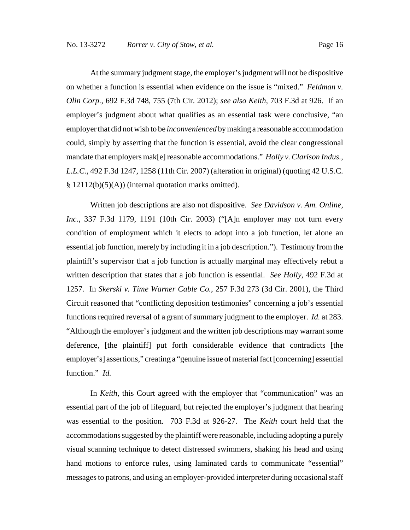At the summary judgment stage, the employer's judgment will not be dispositive on whether a function is essential when evidence on the issue is "mixed." *Feldman v. Olin Corp.*, 692 F.3d 748, 755 (7th Cir. 2012); *see also Keith*, 703 F.3d at 926. If an employer's judgment about what qualifies as an essential task were conclusive, "an employer that did not wish to be *inconvenienced* by making a reasonable accommodation could, simply by asserting that the function is essential, avoid the clear congressional mandate that employers mak[e] reasonable accommodations." *Holly v. Clarison Indus., L.L.C.*, 492 F.3d 1247, 1258 (11th Cir. 2007) (alteration in original) (quoting 42 U.S.C.  $§ 12112(b)(5)(A))$  (internal quotation marks omitted).

Written job descriptions are also not dispositive. *See Davidson v. Am. Online, Inc.*, 337 F.3d 1179, 1191 (10th Cir. 2003) ("[A]n employer may not turn every condition of employment which it elects to adopt into a job function, let alone an essential job function, merely by including it in a job description."). Testimony from the plaintiff's supervisor that a job function is actually marginal may effectively rebut a written description that states that a job function is essential. *See Holly*, 492 F.3d at 1257. In *Skerski v. Time Warner Cable Co.*, 257 F.3d 273 (3d Cir. 2001), the Third Circuit reasoned that "conflicting deposition testimonies" concerning a job's essential functions required reversal of a grant of summary judgment to the employer. *Id.* at 283. "Although the employer's judgment and the written job descriptions may warrant some deference, [the plaintiff] put forth considerable evidence that contradicts [the employer's] assertions," creating a "genuine issue of material fact [concerning] essential function." *Id.*

In *Keith*, this Court agreed with the employer that "communication" was an essential part of the job of lifeguard, but rejected the employer's judgment that hearing was essential to the position. 703 F.3d at 926-27. The *Keith* court held that the accommodations suggested by the plaintiff were reasonable, including adopting a purely visual scanning technique to detect distressed swimmers, shaking his head and using hand motions to enforce rules, using laminated cards to communicate "essential" messages to patrons, and using an employer-provided interpreter during occasional staff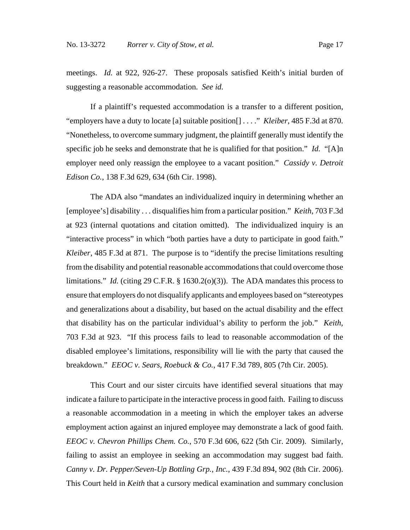meetings. *Id.* at 922, 926-27. These proposals satisfied Keith's initial burden of suggesting a reasonable accommodation. *See id.*

If a plaintiff's requested accommodation is a transfer to a different position, "employers have a duty to locate [a] suitable position[] . . . ." *Kleiber*, 485 F.3d at 870. "Nonetheless, to overcome summary judgment, the plaintiff generally must identify the specific job he seeks and demonstrate that he is qualified for that position." *Id.* "[A]n employer need only reassign the employee to a vacant position." *Cassidy v. Detroit Edison Co.*, 138 F.3d 629, 634 (6th Cir. 1998).

The ADA also "mandates an individualized inquiry in determining whether an [employee's] disability . . . disqualifies him from a particular position." *Keith*, 703 F.3d at 923 (internal quotations and citation omitted). The individualized inquiry is an "interactive process" in which "both parties have a duty to participate in good faith." *Kleiber*, 485 F.3d at 871. The purpose is to "identify the precise limitations resulting from the disability and potential reasonable accommodations that could overcome those limitations." *Id.* (citing 29 C.F.R. § 1630.2(o)(3)). The ADA mandates this process to ensure that employers do not disqualify applicants and employees based on "stereotypes and generalizations about a disability, but based on the actual disability and the effect that disability has on the particular individual's ability to perform the job." *Keith*, 703 F.3d at 923. "If this process fails to lead to reasonable accommodation of the disabled employee's limitations, responsibility will lie with the party that caused the breakdown." *EEOC v. Sears, Roebuck & Co.*, 417 F.3d 789, 805 (7th Cir. 2005).

This Court and our sister circuits have identified several situations that may indicate a failure to participate in the interactive process in good faith. Failing to discuss a reasonable accommodation in a meeting in which the employer takes an adverse employment action against an injured employee may demonstrate a lack of good faith. *EEOC v. Chevron Phillips Chem. Co.*, 570 F.3d 606, 622 (5th Cir. 2009). Similarly, failing to assist an employee in seeking an accommodation may suggest bad faith. *Canny v. Dr. Pepper/Seven-Up Bottling Grp., Inc.*, 439 F.3d 894, 902 (8th Cir. 2006). This Court held in *Keith* that a cursory medical examination and summary conclusion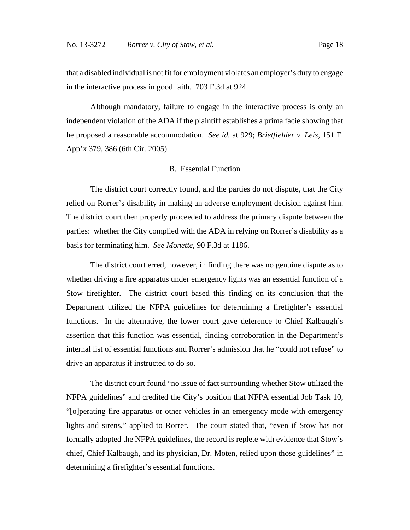that a disabled individual is not fit for employment violates an employer's duty to engage in the interactive process in good faith. 703 F.3d at 924.

Although mandatory, failure to engage in the interactive process is only an independent violation of the ADA if the plaintiff establishes a prima facie showing that he proposed a reasonable accommodation. *See id.* at 929; *Brietfielder v. Leis*, 151 F. App'x 379, 386 (6th Cir. 2005).

## B. Essential Function

The district court correctly found, and the parties do not dispute, that the City relied on Rorrer's disability in making an adverse employment decision against him. The district court then properly proceeded to address the primary dispute between the parties: whether the City complied with the ADA in relying on Rorrer's disability as a basis for terminating him. *See Monette*, 90 F.3d at 1186.

The district court erred, however, in finding there was no genuine dispute as to whether driving a fire apparatus under emergency lights was an essential function of a Stow firefighter. The district court based this finding on its conclusion that the Department utilized the NFPA guidelines for determining a firefighter's essential functions. In the alternative, the lower court gave deference to Chief Kalbaugh's assertion that this function was essential, finding corroboration in the Department's internal list of essential functions and Rorrer's admission that he "could not refuse" to drive an apparatus if instructed to do so.

The district court found "no issue of fact surrounding whether Stow utilized the NFPA guidelines" and credited the City's position that NFPA essential Job Task 10, "[o]perating fire apparatus or other vehicles in an emergency mode with emergency lights and sirens," applied to Rorrer. The court stated that, "even if Stow has not formally adopted the NFPA guidelines, the record is replete with evidence that Stow's chief, Chief Kalbaugh, and its physician, Dr. Moten, relied upon those guidelines" in determining a firefighter's essential functions.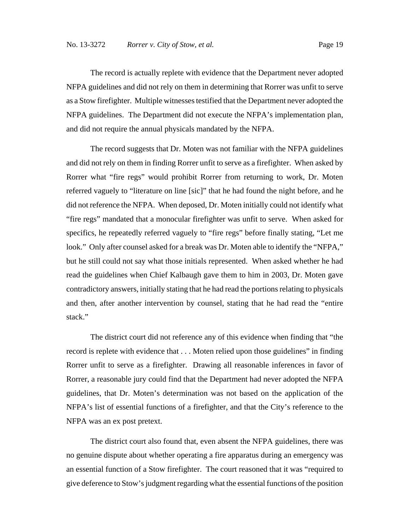The record is actually replete with evidence that the Department never adopted NFPA guidelines and did not rely on them in determining that Rorrer was unfit to serve as a Stow firefighter. Multiple witnesses testified that the Department never adopted the NFPA guidelines. The Department did not execute the NFPA's implementation plan, and did not require the annual physicals mandated by the NFPA.

The record suggests that Dr. Moten was not familiar with the NFPA guidelines and did not rely on them in finding Rorrer unfit to serve as a firefighter. When asked by Rorrer what "fire regs" would prohibit Rorrer from returning to work, Dr. Moten referred vaguely to "literature on line [sic]" that he had found the night before, and he did not reference the NFPA. When deposed, Dr. Moten initially could not identify what "fire regs" mandated that a monocular firefighter was unfit to serve. When asked for specifics, he repeatedly referred vaguely to "fire regs" before finally stating, "Let me look." Only after counsel asked for a break was Dr. Moten able to identify the "NFPA," but he still could not say what those initials represented. When asked whether he had read the guidelines when Chief Kalbaugh gave them to him in 2003, Dr. Moten gave contradictory answers, initially stating that he had read the portions relating to physicals and then, after another intervention by counsel, stating that he had read the "entire stack."

The district court did not reference any of this evidence when finding that "the record is replete with evidence that . . . Moten relied upon those guidelines" in finding Rorrer unfit to serve as a firefighter. Drawing all reasonable inferences in favor of Rorrer, a reasonable jury could find that the Department had never adopted the NFPA guidelines, that Dr. Moten's determination was not based on the application of the NFPA's list of essential functions of a firefighter, and that the City's reference to the NFPA was an ex post pretext.

The district court also found that, even absent the NFPA guidelines, there was no genuine dispute about whether operating a fire apparatus during an emergency was an essential function of a Stow firefighter. The court reasoned that it was "required to give deference to Stow's judgment regarding what the essential functions of the position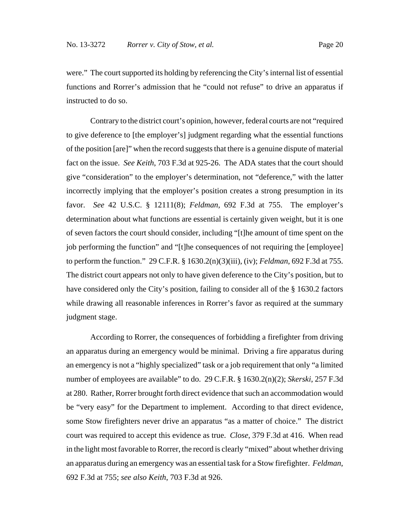were." The court supported its holding by referencing the City's internal list of essential functions and Rorrer's admission that he "could not refuse" to drive an apparatus if instructed to do so.

Contrary to the district court's opinion, however, federal courts are not "required to give deference to [the employer's] judgment regarding what the essential functions of the position [are]" when the record suggests that there is a genuine dispute of material fact on the issue. *See Keith*, 703 F.3d at 925-26. The ADA states that the court should give "consideration" to the employer's determination, not "deference," with the latter incorrectly implying that the employer's position creates a strong presumption in its favor. *See* 42 U.S.C. § 12111(8); *Feldman*, 692 F.3d at 755. The employer's determination about what functions are essential is certainly given weight, but it is one of seven factors the court should consider, including "[t]he amount of time spent on the job performing the function" and "[t]he consequences of not requiring the [employee] to perform the function." 29 C.F.R. § 1630.2(n)(3)(iii), (iv); *Feldman*, 692 F.3d at 755. The district court appears not only to have given deference to the City's position, but to have considered only the City's position, failing to consider all of the § 1630.2 factors while drawing all reasonable inferences in Rorrer's favor as required at the summary judgment stage.

According to Rorrer, the consequences of forbidding a firefighter from driving an apparatus during an emergency would be minimal. Driving a fire apparatus during an emergency is not a "highly specialized" task or a job requirement that only "a limited number of employees are available" to do. 29 C.F.R. § 1630.2(n)(2); *Skerski*, 257 F.3d at 280. Rather, Rorrer brought forth direct evidence that such an accommodation would be "very easy" for the Department to implement. According to that direct evidence, some Stow firefighters never drive an apparatus "as a matter of choice." The district court was required to accept this evidence as true. *Close*, 379 F.3d at 416. When read in the light most favorable to Rorrer, the record is clearly "mixed" about whether driving an apparatus during an emergency was an essential task for a Stow firefighter. *Feldman*, 692 F.3d at 755; *see also Keith*, 703 F.3d at 926.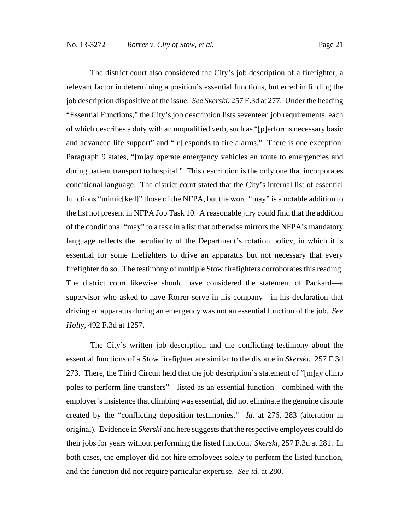The district court also considered the City's job description of a firefighter, a relevant factor in determining a position's essential functions, but erred in finding the job description dispositive of the issue. *See Skerski*, 257 F.3d at 277. Under the heading "Essential Functions," the City's job description lists seventeen job requirements, each of which describes a duty with an unqualified verb, such as "[p]erforms necessary basic and advanced life support" and "[r][esponds to fire alarms." There is one exception. Paragraph 9 states, "[m]ay operate emergency vehicles en route to emergencies and during patient transport to hospital." This description is the only one that incorporates conditional language. The district court stated that the City's internal list of essential functions "mimic[ked]" those of the NFPA, but the word "may" is a notable addition to the list not present in NFPA Job Task 10. A reasonable jury could find that the addition of the conditional "may" to a task in a list that otherwise mirrors the NFPA's mandatory language reflects the peculiarity of the Department's rotation policy, in which it is essential for some firefighters to drive an apparatus but not necessary that every firefighter do so. The testimony of multiple Stow firefighters corroborates this reading. The district court likewise should have considered the statement of Packard—a supervisor who asked to have Rorrer serve in his company—in his declaration that driving an apparatus during an emergency was not an essential function of the job. *See Holly*, 492 F.3d at 1257.

The City's written job description and the conflicting testimony about the essential functions of a Stow firefighter are similar to the dispute in *Skerski*. 257 F.3d 273. There, the Third Circuit held that the job description's statement of "[m]ay climb poles to perform line transfers"—listed as an essential function—combined with the employer's insistence that climbing was essential, did not eliminate the genuine dispute created by the "conflicting deposition testimonies." *Id.* at 276, 283 (alteration in original). Evidence in *Skerski* and here suggests that the respective employees could do their jobs for years without performing the listed function. *Skerski*, 257 F.3d at 281. In both cases, the employer did not hire employees solely to perform the listed function, and the function did not require particular expertise. *See id.* at 280.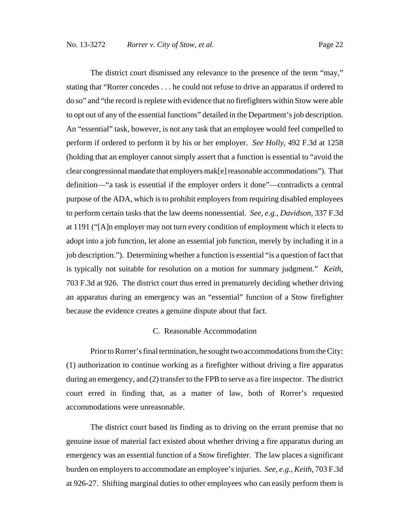The district court dismissed any relevance to the presence of the term "may," stating that "Rorrer concedes . . . he could not refuse to drive an apparatus if ordered to do so" and "the record is replete with evidence that no firefighters within Stow were able to opt out of any of the essential functions" detailed in the Department's job description. An "essential" task, however, is not any task that an employee would feel compelled to perform if ordered to perform it by his or her employer. *See Holly*, 492 F.3d at 1258 (holding that an employer cannot simply assert that a function is essential to "avoid the clear congressional mandate that employers mak[e] reasonable accommodations"). That definition—"a task is essential if the employer orders it done"—contradicts a central purpose of the ADA, which is to prohibit employers from requiring disabled employees to perform certain tasks that the law deems nonessential. *See, e.g.*, *Davidson*, 337 F.3d at 1191 ("[A]n employer may not turn every condition of employment which it elects to adopt into a job function, let alone an essential job function, merely by including it in a job description."). Determining whether a function is essential "is a question of fact that is typically not suitable for resolution on a motion for summary judgment." *Keith*, 703 F.3d at 926. The district court thus erred in prematurely deciding whether driving an apparatus during an emergency was an "essential" function of a Stow firefighter because the evidence creates a genuine dispute about that fact.

## C. Reasonable Accommodation

Prior to Rorrer's final termination, he sought two accommodations from the City: (1) authorization to continue working as a firefighter without driving a fire apparatus during an emergency, and (2) transfer to the FPB to serve as a fire inspector. The district court erred in finding that, as a matter of law, both of Rorrer's requested accommodations were unreasonable.

The district court based its finding as to driving on the errant premise that no genuine issue of material fact existed about whether driving a fire apparatus during an emergency was an essential function of a Stow firefighter. The law places a significant burden on employers to accommodate an employee's injuries. *See, e.g.*, *Keith*, 703 F.3d at 926-27. Shifting marginal duties to other employees who can easily perform them is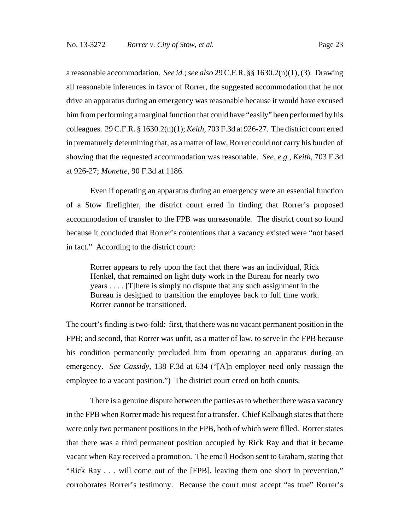a reasonable accommodation. *See id.*; *see also* 29 C.F.R. §§ 1630.2(n)(1), (3). Drawing all reasonable inferences in favor of Rorrer, the suggested accommodation that he not drive an apparatus during an emergency was reasonable because it would have excused him from performing a marginal function that could have "easily" been performed by his colleagues. 29 C.F.R. § 1630.2(n)(1); *Keith*, 703 F.3d at 926-27. The district court erred in prematurely determining that, as a matter of law, Rorrer could not carry his burden of showing that the requested accommodation was reasonable. *See, e.g.*, *Keith*, 703 F.3d at 926-27; *Monette*, 90 F.3d at 1186.

Even if operating an apparatus during an emergency were an essential function of a Stow firefighter, the district court erred in finding that Rorrer's proposed accommodation of transfer to the FPB was unreasonable. The district court so found because it concluded that Rorrer's contentions that a vacancy existed were "not based in fact." According to the district court:

Rorrer appears to rely upon the fact that there was an individual, Rick Henkel, that remained on light duty work in the Bureau for nearly two years . . . . [T]here is simply no dispute that any such assignment in the Bureau is designed to transition the employee back to full time work. Rorrer cannot be transitioned.

The court's finding is two-fold: first, that there was no vacant permanent position in the FPB; and second, that Rorrer was unfit, as a matter of law, to serve in the FPB because his condition permanently precluded him from operating an apparatus during an emergency. *See Cassidy*, 138 F.3d at 634 ("[A]n employer need only reassign the employee to a vacant position.") The district court erred on both counts.

There is a genuine dispute between the parties as to whether there was a vacancy in the FPB when Rorrer made his request for a transfer. Chief Kalbaugh states that there were only two permanent positions in the FPB, both of which were filled. Rorrer states that there was a third permanent position occupied by Rick Ray and that it became vacant when Ray received a promotion. The email Hodson sent to Graham, stating that "Rick Ray . . . will come out of the [FPB], leaving them one short in prevention," corroborates Rorrer's testimony. Because the court must accept "as true" Rorrer's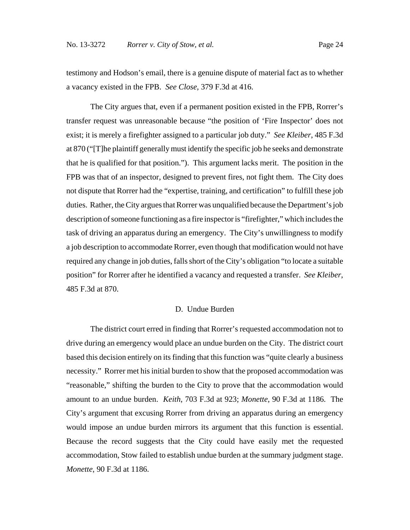testimony and Hodson's email, there is a genuine dispute of material fact as to whether a vacancy existed in the FPB. *See Close*, 379 F.3d at 416.

The City argues that, even if a permanent position existed in the FPB, Rorrer's transfer request was unreasonable because "the position of 'Fire Inspector' does not exist; it is merely a firefighter assigned to a particular job duty." *See Kleiber*, 485 F.3d at 870 ("[T]he plaintiff generally must identify the specific job he seeks and demonstrate that he is qualified for that position."). This argument lacks merit. The position in the FPB was that of an inspector, designed to prevent fires, not fight them. The City does not dispute that Rorrer had the "expertise, training, and certification" to fulfill these job duties. Rather, the City argues that Rorrer was unqualified because the Department's job description of someone functioning as a fire inspector is "firefighter," which includes the task of driving an apparatus during an emergency. The City's unwillingness to modify a job description to accommodate Rorrer, even though that modification would not have required any change in job duties, falls short of the City's obligation "to locate a suitable position" for Rorrer after he identified a vacancy and requested a transfer. *See Kleiber*, 485 F.3d at 870.

#### D. Undue Burden

The district court erred in finding that Rorrer's requested accommodation not to drive during an emergency would place an undue burden on the City. The district court based this decision entirely on its finding that this function was "quite clearly a business necessity." Rorrer met his initial burden to show that the proposed accommodation was "reasonable," shifting the burden to the City to prove that the accommodation would amount to an undue burden. *Keith*, 703 F.3d at 923; *Monette*, 90 F.3d at 1186. The City's argument that excusing Rorrer from driving an apparatus during an emergency would impose an undue burden mirrors its argument that this function is essential. Because the record suggests that the City could have easily met the requested accommodation, Stow failed to establish undue burden at the summary judgment stage. *Monette*, 90 F.3d at 1186.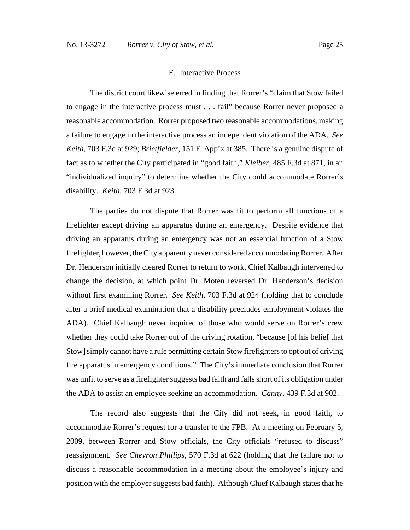#### E. Interactive Process

The district court likewise erred in finding that Rorrer's "claim that Stow failed to engage in the interactive process must . . . fail" because Rorrer never proposed a reasonable accommodation. Rorrer proposed two reasonable accommodations, making a failure to engage in the interactive process an independent violation of the ADA. *See Keith*, 703 F.3d at 929; *Brietfielder*, 151 F. App'x at 385. There is a genuine dispute of fact as to whether the City participated in "good faith," *Kleiber*, 485 F.3d at 871, in an "individualized inquiry" to determine whether the City could accommodate Rorrer's disability. *Keith*, 703 F.3d at 923.

The parties do not dispute that Rorrer was fit to perform all functions of a firefighter except driving an apparatus during an emergency. Despite evidence that driving an apparatus during an emergency was not an essential function of a Stow firefighter, however, the City apparently never considered accommodating Rorrer. After Dr. Henderson initially cleared Rorrer to return to work, Chief Kalbaugh intervened to change the decision, at which point Dr. Moten reversed Dr. Henderson's decision without first examining Rorrer. *See Keith*, 703 F.3d at 924 (holding that to conclude after a brief medical examination that a disability precludes employment violates the ADA). Chief Kalbaugh never inquired of those who would serve on Rorrer's crew whether they could take Rorrer out of the driving rotation, "because [of his belief that Stow] simply cannot have a rule permitting certain Stow firefighters to opt out of driving fire apparatus in emergency conditions." The City's immediate conclusion that Rorrer was unfit to serve as a firefighter suggests bad faith and falls short of its obligation under the ADA to assist an employee seeking an accommodation. *Canny*, 439 F.3d at 902.

The record also suggests that the City did not seek, in good faith, to accommodate Rorrer's request for a transfer to the FPB. At a meeting on February 5, 2009, between Rorrer and Stow officials, the City officials "refused to discuss" reassignment. *See Chevron Phillips*, 570 F.3d at 622 (holding that the failure not to discuss a reasonable accommodation in a meeting about the employee's injury and position with the employer suggests bad faith). Although Chief Kalbaugh states that he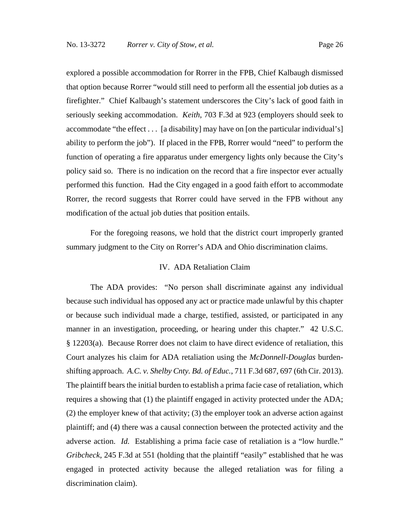explored a possible accommodation for Rorrer in the FPB, Chief Kalbaugh dismissed that option because Rorrer "would still need to perform all the essential job duties as a firefighter." Chief Kalbaugh's statement underscores the City's lack of good faith in seriously seeking accommodation. *Keith*, 703 F.3d at 923 (employers should seek to accommodate "the effect . . . [a disability] may have on [on the particular individual's] ability to perform the job"). If placed in the FPB, Rorrer would "need" to perform the function of operating a fire apparatus under emergency lights only because the City's policy said so. There is no indication on the record that a fire inspector ever actually performed this function. Had the City engaged in a good faith effort to accommodate Rorrer, the record suggests that Rorrer could have served in the FPB without any modification of the actual job duties that position entails.

For the foregoing reasons, we hold that the district court improperly granted summary judgment to the City on Rorrer's ADA and Ohio discrimination claims.

## IV. ADA Retaliation Claim

The ADA provides: "No person shall discriminate against any individual because such individual has opposed any act or practice made unlawful by this chapter or because such individual made a charge, testified, assisted, or participated in any manner in an investigation, proceeding, or hearing under this chapter." 42 U.S.C. § 12203(a). Because Rorrer does not claim to have direct evidence of retaliation, this Court analyzes his claim for ADA retaliation using the *McDonnell-Douglas* burdenshifting approach. *A.C. v. Shelby Cnty. Bd. of Educ.*, 711 F.3d 687, 697 (6th Cir. 2013). The plaintiff bears the initial burden to establish a prima facie case of retaliation, which requires a showing that (1) the plaintiff engaged in activity protected under the ADA; (2) the employer knew of that activity; (3) the employer took an adverse action against plaintiff; and (4) there was a causal connection between the protected activity and the adverse action. *Id.* Establishing a prima facie case of retaliation is a "low hurdle." *Gribcheck*, 245 F.3d at 551 (holding that the plaintiff "easily" established that he was engaged in protected activity because the alleged retaliation was for filing a discrimination claim).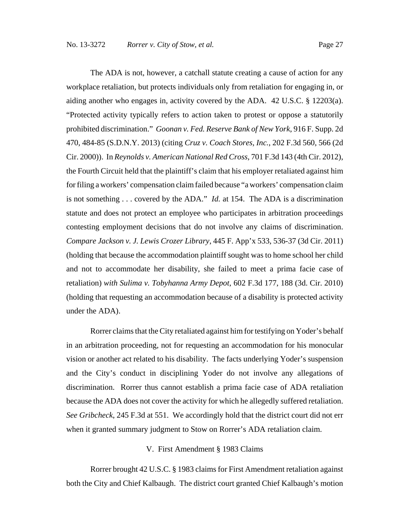The ADA is not, however, a catchall statute creating a cause of action for any workplace retaliation, but protects individuals only from retaliation for engaging in, or aiding another who engages in, activity covered by the ADA. 42 U.S.C. § 12203(a). "Protected activity typically refers to action taken to protest or oppose a statutorily prohibited discrimination." *Goonan v. Fed. Reserve Bank of New York*, 916 F. Supp. 2d 470, 484-85 (S.D.N.Y. 2013) (citing *Cruz v. Coach Stores, Inc.*, 202 F.3d 560, 566 (2d Cir. 2000)). In *Reynolds v. American National Red Cross*, 701 F.3d 143 (4th Cir. 2012), the Fourth Circuit held that the plaintiff's claim that his employer retaliated against him for filing a workers' compensation claim failed because "a workers' compensation claim is not something . . . covered by the ADA." *Id.* at 154. The ADA is a discrimination statute and does not protect an employee who participates in arbitration proceedings contesting employment decisions that do not involve any claims of discrimination. *Compare Jackson v. J. Lewis Crozer Library*, 445 F. App'x 533, 536-37 (3d Cir. 2011) (holding that because the accommodation plaintiff sought was to home school her child and not to accommodate her disability, she failed to meet a prima facie case of retaliation) *with Sulima v. Tobyhanna Army Depot*, 602 F.3d 177, 188 (3d. Cir. 2010) (holding that requesting an accommodation because of a disability is protected activity under the ADA).

Rorrer claims that the City retaliated against him for testifying on Yoder's behalf in an arbitration proceeding, not for requesting an accommodation for his monocular vision or another act related to his disability. The facts underlying Yoder's suspension and the City's conduct in disciplining Yoder do not involve any allegations of discrimination. Rorrer thus cannot establish a prima facie case of ADA retaliation because the ADA does not cover the activity for which he allegedly suffered retaliation. *See Gribcheck*, 245 F.3d at 551. We accordingly hold that the district court did not err when it granted summary judgment to Stow on Rorrer's ADA retaliation claim.

## V. First Amendment § 1983 Claims

Rorrer brought 42 U.S.C. § 1983 claims for First Amendment retaliation against both the City and Chief Kalbaugh. The district court granted Chief Kalbaugh's motion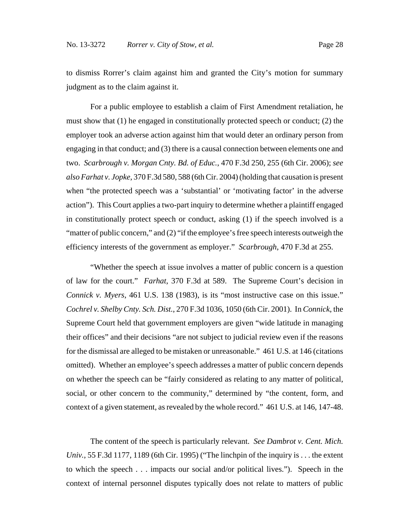to dismiss Rorrer's claim against him and granted the City's motion for summary judgment as to the claim against it.

For a public employee to establish a claim of First Amendment retaliation, he must show that (1) he engaged in constitutionally protected speech or conduct; (2) the employer took an adverse action against him that would deter an ordinary person from engaging in that conduct; and (3) there is a causal connection between elements one and two. *Scarbrough v. Morgan Cnty. Bd. of Educ.*, 470 F.3d 250, 255 (6th Cir. 2006); *see also Farhat v. Jopke*, 370 F.3d 580, 588 (6th Cir. 2004) (holding that causation is present when "the protected speech was a 'substantial' or 'motivating factor' in the adverse action"). This Court applies a two-part inquiry to determine whether a plaintiff engaged in constitutionally protect speech or conduct, asking (1) if the speech involved is a "matter of public concern," and (2) "if the employee's free speech interests outweigh the efficiency interests of the government as employer." *Scarbrough*, 470 F.3d at 255.

"Whether the speech at issue involves a matter of public concern is a question of law for the court." *Farhat*, 370 F.3d at 589. The Supreme Court's decision in *Connick v. Myers*, 461 U.S. 138 (1983), is its "most instructive case on this issue." *Cochrel v. Shelby Cnty. Sch. Dist.*, 270 F.3d 1036, 1050 (6th Cir. 2001). In *Connick*, the Supreme Court held that government employers are given "wide latitude in managing their offices" and their decisions "are not subject to judicial review even if the reasons for the dismissal are alleged to be mistaken or unreasonable." 461 U.S. at 146 (citations omitted). Whether an employee's speech addresses a matter of public concern depends on whether the speech can be "fairly considered as relating to any matter of political, social, or other concern to the community," determined by "the content, form, and context of a given statement, as revealed by the whole record." 461 U.S. at 146, 147-48.

The content of the speech is particularly relevant. *See Dambrot v. Cent. Mich. Univ.*, 55 F.3d 1177, 1189 (6th Cir. 1995) ("The linchpin of the inquiry is ... the extent to which the speech . . . impacts our social and/or political lives."). Speech in the context of internal personnel disputes typically does not relate to matters of public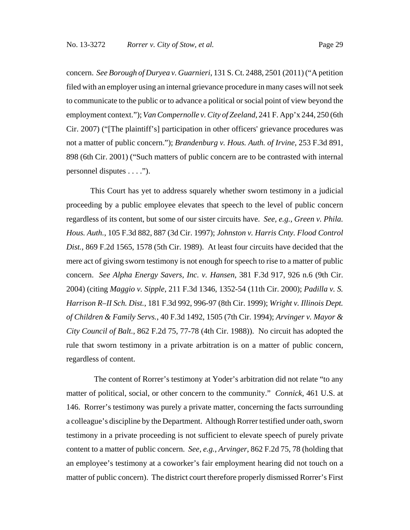concern. *See Borough of Duryea v. Guarnieri*, 131 S. Ct. 2488, 2501 (2011) ("A petition filed with an employer using an internal grievance procedure in many cases will not seek to communicate to the public or to advance a political or social point of view beyond the employment context."); *Van Compernolle v. City of Zeeland*, 241 F. App'x 244, 250 (6th Cir. 2007) ("[The plaintiff's] participation in other officers' grievance procedures was not a matter of public concern."); *Brandenburg v. Hous. Auth. of Irvine*, 253 F.3d 891, 898 (6th Cir. 2001) ("Such matters of public concern are to be contrasted with internal personnel disputes . . . .").

This Court has yet to address squarely whether sworn testimony in a judicial proceeding by a public employee elevates that speech to the level of public concern regardless of its content, but some of our sister circuits have. *See, e.g.*, *Green v. Phila. Hous. Auth.*, 105 F.3d 882, 887 (3d Cir. 1997); *Johnston v. Harris Cnty. Flood Control Dist.*, 869 F.2d 1565, 1578 (5th Cir. 1989). At least four circuits have decided that the mere act of giving sworn testimony is not enough for speech to rise to a matter of public concern. *See Alpha Energy Savers, Inc. v. Hansen*, 381 F.3d 917, 926 n.6 (9th Cir. 2004) (citing *Maggio v. Sipple*, 211 F.3d 1346, 1352-54 (11th Cir. 2000); *Padilla v. S. Harrison R–II Sch. Dist.*, 181 F.3d 992, 996-97 (8th Cir. 1999); *Wright v. Illinois Dept. of Children & Family Servs.*, 40 F.3d 1492, 1505 (7th Cir. 1994); *Arvinger v. Mayor & City Council of Balt.*, 862 F.2d 75, 77-78 (4th Cir. 1988)). No circuit has adopted the rule that sworn testimony in a private arbitration is on a matter of public concern, regardless of content.

 The content of Rorrer's testimony at Yoder's arbitration did not relate "to any matter of political, social, or other concern to the community." *Connick*, 461 U.S. at 146. Rorrer's testimony was purely a private matter, concerning the facts surrounding a colleague's discipline by the Department. Although Rorrer testified under oath, sworn testimony in a private proceeding is not sufficient to elevate speech of purely private content to a matter of public concern. *See, e.g.*, *Arvinger*, 862 F.2d 75, 78 (holding that an employee's testimony at a coworker's fair employment hearing did not touch on a matter of public concern). The district court therefore properly dismissed Rorrer's First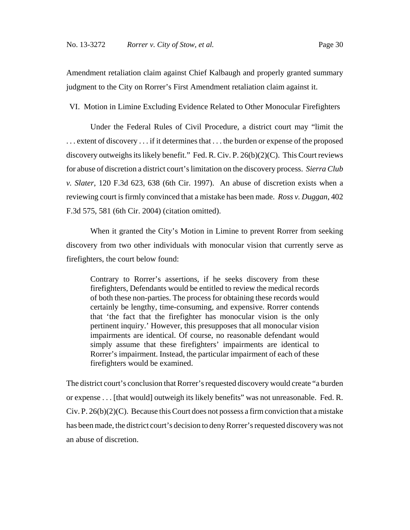Amendment retaliation claim against Chief Kalbaugh and properly granted summary judgment to the City on Rorrer's First Amendment retaliation claim against it.

VI. Motion in Limine Excluding Evidence Related to Other Monocular Firefighters

Under the Federal Rules of Civil Procedure, a district court may "limit the . . . extent of discovery . . . if it determines that . . . the burden or expense of the proposed discovery outweighs its likely benefit." Fed. R. Civ. P. 26(b)(2)(C). This Court reviews for abuse of discretion a district court's limitation on the discovery process. *Sierra Club v. Slater*, 120 F.3d 623, 638 (6th Cir. 1997). An abuse of discretion exists when a reviewing court is firmly convinced that a mistake has been made. *Ross v. Duggan*, 402 F.3d 575, 581 (6th Cir. 2004) (citation omitted).

When it granted the City's Motion in Limine to prevent Rorrer from seeking discovery from two other individuals with monocular vision that currently serve as firefighters, the court below found:

Contrary to Rorrer's assertions, if he seeks discovery from these firefighters, Defendants would be entitled to review the medical records of both these non-parties. The process for obtaining these records would certainly be lengthy, time-consuming, and expensive. Rorrer contends that 'the fact that the firefighter has monocular vision is the only pertinent inquiry.' However, this presupposes that all monocular vision impairments are identical. Of course, no reasonable defendant would simply assume that these firefighters' impairments are identical to Rorrer's impairment. Instead, the particular impairment of each of these firefighters would be examined.

The district court's conclusion that Rorrer's requested discovery would create "a burden or expense . . . [that would] outweigh its likely benefits" was not unreasonable. Fed. R.  $Civ$ . P. 26(b)(2)(C). Because this Court does not possess a firm conviction that a mistake has been made, the district court's decision to deny Rorrer's requested discovery was not an abuse of discretion.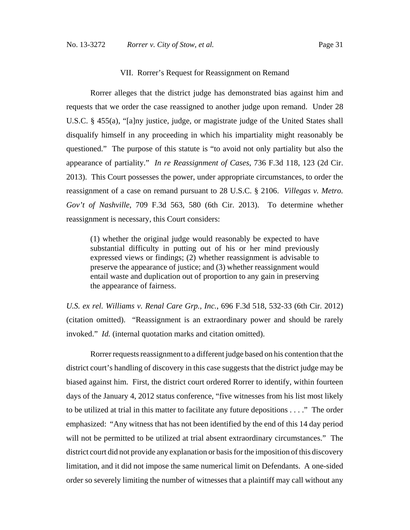#### VII. Rorrer's Request for Reassignment on Remand

Rorrer alleges that the district judge has demonstrated bias against him and requests that we order the case reassigned to another judge upon remand. Under 28 U.S.C. § 455(a), "[a]ny justice, judge, or magistrate judge of the United States shall disqualify himself in any proceeding in which his impartiality might reasonably be questioned." The purpose of this statute is "to avoid not only partiality but also the appearance of partiality." *In re Reassignment of Cases*, 736 F.3d 118, 123 (2d Cir. 2013). This Court possesses the power, under appropriate circumstances, to order the reassignment of a case on remand pursuant to 28 U.S.C. § 2106. *Villegas v. Metro. Gov't of Nashville*, 709 F.3d 563, 580 (6th Cir. 2013). To determine whether reassignment is necessary, this Court considers:

(1) whether the original judge would reasonably be expected to have substantial difficulty in putting out of his or her mind previously expressed views or findings; (2) whether reassignment is advisable to preserve the appearance of justice; and (3) whether reassignment would entail waste and duplication out of proportion to any gain in preserving the appearance of fairness.

*U.S. ex rel. Williams v. Renal Care Grp., Inc.*, 696 F.3d 518, 532-33 (6th Cir. 2012) (citation omitted). "Reassignment is an extraordinary power and should be rarely invoked." *Id.* (internal quotation marks and citation omitted).

Rorrer requests reassignment to a different judge based on his contention that the district court's handling of discovery in this case suggests that the district judge may be biased against him. First, the district court ordered Rorrer to identify, within fourteen days of the January 4, 2012 status conference, "five witnesses from his list most likely to be utilized at trial in this matter to facilitate any future depositions . . . ." The order emphasized: "Any witness that has not been identified by the end of this 14 day period will not be permitted to be utilized at trial absent extraordinary circumstances." The district court did not provide any explanation or basis for the imposition of this discovery limitation, and it did not impose the same numerical limit on Defendants. A one-sided order so severely limiting the number of witnesses that a plaintiff may call without any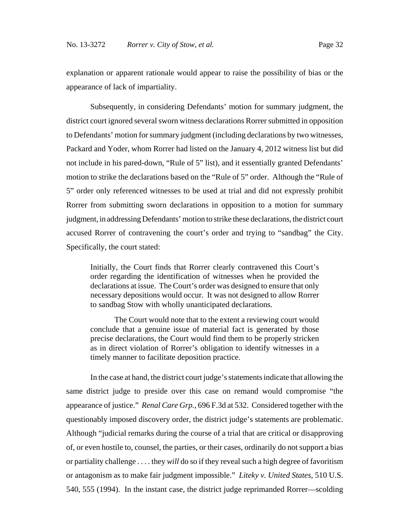explanation or apparent rationale would appear to raise the possibility of bias or the appearance of lack of impartiality.

Subsequently, in considering Defendants' motion for summary judgment, the district court ignored several sworn witness declarations Rorrer submitted in opposition to Defendants' motion for summary judgment (including declarations by two witnesses, Packard and Yoder, whom Rorrer had listed on the January 4, 2012 witness list but did not include in his pared-down, "Rule of 5" list), and it essentially granted Defendants' motion to strike the declarations based on the "Rule of 5" order. Although the "Rule of 5" order only referenced witnesses to be used at trial and did not expressly prohibit Rorrer from submitting sworn declarations in opposition to a motion for summary judgment, in addressing Defendants' motion to strike these declarations, the district court accused Rorrer of contravening the court's order and trying to "sandbag" the City. Specifically, the court stated:

Initially, the Court finds that Rorrer clearly contravened this Court's order regarding the identification of witnesses when he provided the declarations at issue. The Court's order was designed to ensure that only necessary depositions would occur. It was not designed to allow Rorrer to sandbag Stow with wholly unanticipated declarations.

The Court would note that to the extent a reviewing court would conclude that a genuine issue of material fact is generated by those precise declarations, the Court would find them to be properly stricken as in direct violation of Rorrer's obligation to identify witnesses in a timely manner to facilitate deposition practice.

In the case at hand, the district court judge's statements indicate that allowing the same district judge to preside over this case on remand would compromise "the appearance of justice." *Renal Care Grp.*, 696 F.3d at 532. Considered together with the questionably imposed discovery order, the district judge's statements are problematic. Although "judicial remarks during the course of a trial that are critical or disapproving of, or even hostile to, counsel, the parties, or their cases, ordinarily do not support a bias or partiality challenge . . . . they *will* do so if they reveal such a high degree of favoritism or antagonism as to make fair judgment impossible." *Liteky v. United States*, 510 U.S. 540, 555 (1994). In the instant case, the district judge reprimanded Rorrer—scolding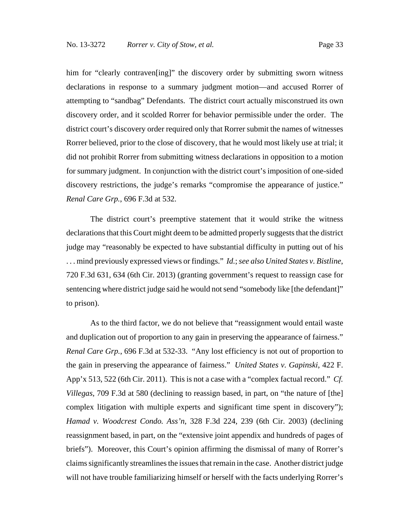him for "clearly contraven[ing]" the discovery order by submitting sworn witness declarations in response to a summary judgment motion—and accused Rorrer of attempting to "sandbag" Defendants. The district court actually misconstrued its own discovery order, and it scolded Rorrer for behavior permissible under the order. The district court's discovery order required only that Rorrer submit the names of witnesses Rorrer believed, prior to the close of discovery, that he would most likely use at trial; it did not prohibit Rorrer from submitting witness declarations in opposition to a motion for summary judgment. In conjunction with the district court's imposition of one-sided discovery restrictions, the judge's remarks "compromise the appearance of justice." *Renal Care Grp.*, 696 F.3d at 532.

The district court's preemptive statement that it would strike the witness declarations that this Court might deem to be admitted properly suggests that the district judge may "reasonably be expected to have substantial difficulty in putting out of his . . . mind previously expressed views or findings." *Id.*; *see also United States v. Bistline*, 720 F.3d 631, 634 (6th Cir. 2013) (granting government's request to reassign case for sentencing where district judge said he would not send "somebody like [the defendant]" to prison).

As to the third factor, we do not believe that "reassignment would entail waste and duplication out of proportion to any gain in preserving the appearance of fairness." *Renal Care Grp.*, 696 F.3d at 532-33. "Any lost efficiency is not out of proportion to the gain in preserving the appearance of fairness." *United States v. Gapinski*, 422 F. App'x 513, 522 (6th Cir. 2011). This is not a case with a "complex factual record." *Cf. Villegas*, 709 F.3d at 580 (declining to reassign based, in part, on "the nature of [the] complex litigation with multiple experts and significant time spent in discovery"); *Hamad v. Woodcrest Condo. Ass'n*, 328 F.3d 224, 239 (6th Cir. 2003) (declining reassignment based, in part, on the "extensive joint appendix and hundreds of pages of briefs"). Moreover, this Court's opinion affirming the dismissal of many of Rorrer's claims significantly streamlines the issues that remain in the case. Another district judge will not have trouble familiarizing himself or herself with the facts underlying Rorrer's